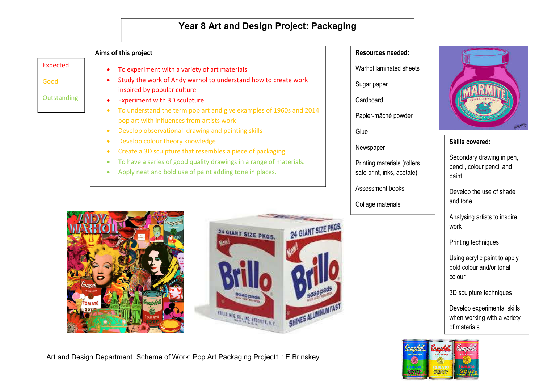# **Year 8 Art and Design Project: Packaging**

### **Aims of this project**

Expected

Good

**Outstanding** 

- To experiment with a variety of art materials
- Study the work of Andy warhol to understand how to create work inspired by popular culture
- Experiment with 3D sculpture
- To understand the term pop art and give examples of 1960s and 2014 pop art with influences from artists work
- Develop observational drawing and painting skills
- Develop colour theory knowledge
- Create a 3D sculpture that resembles a piece of packaging
- To have a series of good quality drawings in a range of materials.
- Apply neat and bold use of paint adding tone in places.





## Art and Design Department. Scheme of Work: Pop Art Packaging Project1 : E Brinskey

### **Resources needed:**

Warhol laminated sheets

Sugar paper

**Cardboard** 

Papier-mâché powder

**Glue** 

Newspaper

Printing materials (rollers, safe print, inks, acetate)

Assessment books

Collage materials



# **Skills covered:**

Secondary drawing in pen, pencil, colour pencil and paint.

Develop the use of shade and tone

Analysing artists to inspire work

Printing techniques

Using acrylic paint to apply bold colour and/or tonal colour

3D sculpture techniques

Develop experimental skills when working with a variety of materials.

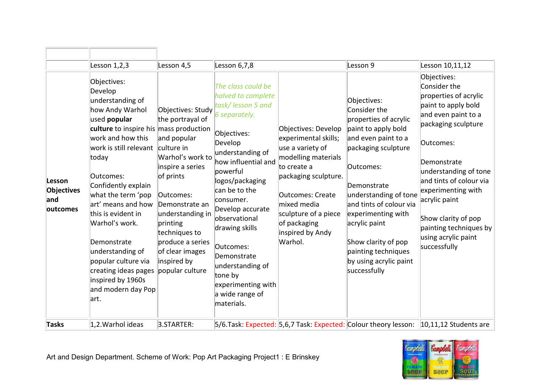|                                         | Lesson 1,2,3                                                                                                                                                                                                                                                                                                                                                                                                                                        | Lesson 4,5                                                                                                                                                                                                                                                                       | Lesson 6,7,8                                                                                                                                                                                                                                                                                                                                                                              |                                                                                                                                                                                                                                                | Lesson 9                                                                                                                                                                                                                                                                                                                                 | Lesson 10,11,12                                                                                                                                                                                                                                                                                                                          |
|-----------------------------------------|-----------------------------------------------------------------------------------------------------------------------------------------------------------------------------------------------------------------------------------------------------------------------------------------------------------------------------------------------------------------------------------------------------------------------------------------------------|----------------------------------------------------------------------------------------------------------------------------------------------------------------------------------------------------------------------------------------------------------------------------------|-------------------------------------------------------------------------------------------------------------------------------------------------------------------------------------------------------------------------------------------------------------------------------------------------------------------------------------------------------------------------------------------|------------------------------------------------------------------------------------------------------------------------------------------------------------------------------------------------------------------------------------------------|------------------------------------------------------------------------------------------------------------------------------------------------------------------------------------------------------------------------------------------------------------------------------------------------------------------------------------------|------------------------------------------------------------------------------------------------------------------------------------------------------------------------------------------------------------------------------------------------------------------------------------------------------------------------------------------|
| Lesson<br>Objectives<br>and<br>outcomes | Objectives:<br>Develop<br>understanding of<br>how Andy Warhol<br>used <b>popular</b><br>culture to inspire his mass production<br>work and how this<br>work is still relevant<br>today<br>Outcomes:<br>Confidently explain<br>what the term 'pop<br>art' means and how<br>this is evident in<br>Warhol's work.<br>Demonstrate<br>understanding of<br>popular culture via<br>creating ideas pages<br>inspired by 1960s<br>and modern day Pop<br>art. | Objectives: Study<br>the portrayal of<br>and popular<br>culture in<br>Warhol's work to<br>inspire a series<br>of prints<br>Outcomes:<br>Demonstrate an<br>understanding in<br>printing<br>techniques to<br>produce a series<br>of clear images<br>inspired by<br>popular culture | The class could be<br>halved to complete<br>task/lesson 5 and<br>6 separately.<br>Objectives:<br>Develop<br>understanding of<br>how influential and<br>powerful<br>logos/packaging<br>can be to the<br>consumer.<br>Develop accurate<br>observational<br>drawing skills<br>Outcomes:<br>Demonstrate<br>understanding of<br>tone by<br>experimenting with<br>a wide range of<br>materials. | Objectives: Develop<br>experimental skills;<br>use a variety of<br>modelling materials<br>to create a<br>packaging sculpture.<br><b>Outcomes: Create</b><br>mixed media<br>sculpture of a piece<br>of packaging<br>inspired by Andy<br>Warhol. | Objectives:<br>Consider the<br>properties of acrylic<br>paint to apply bold<br>and even paint to a<br>packaging sculpture<br>Outcomes:<br>Demonstrate<br>understanding of tone<br>and tints of colour via<br>experimenting with<br>acrylic paint<br>Show clarity of pop<br>painting techniques<br>by using acrylic paint<br>successfully | Objectives:<br>Consider the<br>properties of acrylic<br>paint to apply bold<br>and even paint to a<br>packaging sculpture<br>Outcomes:<br>Demonstrate<br>understanding of tone<br>and tints of colour via<br>experimenting with<br>acrylic paint<br>Show clarity of pop<br>painting techniques by<br>using acrylic paint<br>successfully |
| <b>Tasks</b>                            | 1,2. Warhol ideas                                                                                                                                                                                                                                                                                                                                                                                                                                   | 3.STARTER:                                                                                                                                                                                                                                                                       |                                                                                                                                                                                                                                                                                                                                                                                           |                                                                                                                                                                                                                                                | 5/6.Task: Expected: 5,6,7 Task: Expected: Colour theory lesson:                                                                                                                                                                                                                                                                          | $10,11,12$ Students are                                                                                                                                                                                                                                                                                                                  |

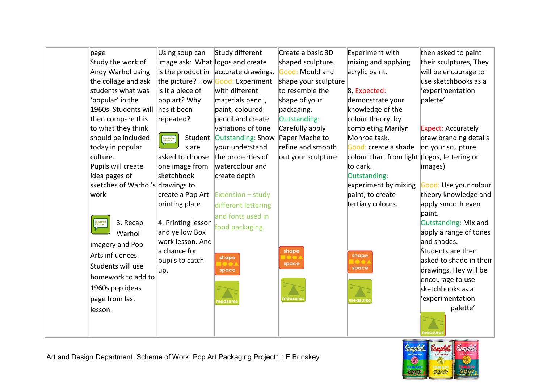| page                             | Using soup can                   | Study different           | Create a basic 3D    | Experiment with                              | then asked to paint                       |
|----------------------------------|----------------------------------|---------------------------|----------------------|----------------------------------------------|-------------------------------------------|
| Study the work of                | image ask: What logos and create |                           | shaped sculpture.    | mixing and applying                          | their sculptures, They                    |
| Andy Warhol using                | is the product in                | accurate drawings.        | Good: Mould and      | acrylic paint.                               | will be encourage to                      |
| the collage and ask              | the picture? How                 | Good: Experiment          | shape your sculpture |                                              | use sketchbooks as a                      |
| students what was                | is it a piece of                 | with different            | to resemble the      | 8, Expected:                                 | 'experimentation                          |
| 'popular' in the                 | pop art? Why                     | materials pencil,         | shape of your        | demonstrate your                             | palette'                                  |
| 1960s. Students will             | has it been                      | paint, coloured           | packaging.           | knowledge of the                             |                                           |
| then compare this                | repeated?                        | pencil and create         | Outstanding:         | colour theory, by                            |                                           |
| to what they think               |                                  | variations of tone        | Carefully apply      | completing Marilyn                           | <b>Expect: Accurately</b>                 |
| should be included               | Speaking &<br>Listening          | Student Outstanding: Show | Paper Mache to       | Monroe task.                                 | draw branding details                     |
| today in popular                 | s are                            | your understand           | refine and smooth    | Good: create a shade                         | on your sculpture.                        |
| culture.                         | asked to choose                  | the properties of         | out your sculpture.  | colour chart from light (logos, lettering or |                                           |
| Pupils will create               | one image from                   | watercolour and           |                      | to dark.                                     | images)                                   |
| idea pages of                    | sketchbook                       | create depth              |                      | Outstanding:                                 |                                           |
| sketches of Warhol's drawings to |                                  |                           |                      | experiment by mixing                         | Good: Use your colour                     |
| work                             | create a Pop Art                 | Extension - study         |                      | paint, to create                             | theory knowledge and                      |
|                                  | printing plate                   | different lettering       |                      | tertiary colours.                            | apply smooth even                         |
|                                  |                                  | and fonts used in         |                      |                                              | paint.                                    |
| 3. Recap                         | 4. Printing lesson               | food packaging.           |                      |                                              | Outstanding: Mix and                      |
| Warhol                           | and yellow Box                   |                           |                      |                                              | apply a range of tones                    |
| imagery and Pop                  | work lesson. And                 |                           |                      |                                              | and shades.                               |
| Arts influences.                 | a chance for                     | shape                     | shape                | shape                                        | Students are then                         |
| Students will use                | pupils to catch                  |                           | space                | space                                        | asked to shade in their                   |
| homework to add to               | up.                              | space                     |                      |                                              | drawings. Hey will be<br>encourage to use |
| 1960s pop ideas                  |                                  |                           |                      |                                              | sketchbooks as a                          |
| page from last                   |                                  |                           | measur               |                                              | 'experimentation                          |
|                                  |                                  | neasure:                  |                      | measure                                      | palette'                                  |
| lesson.                          |                                  |                           |                      |                                              |                                           |
|                                  |                                  |                           |                      |                                              |                                           |
|                                  |                                  |                           |                      |                                              | neasure:                                  |

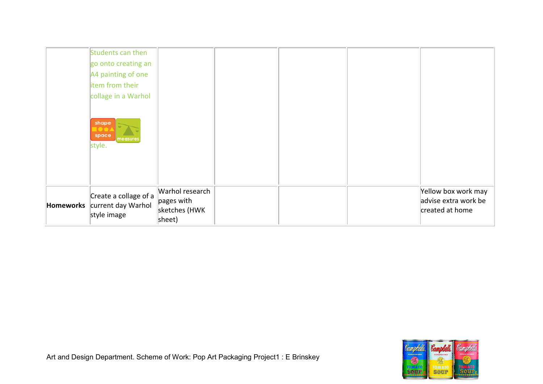| Students can then<br>go onto creating an<br>A4 painting of one<br>item from their<br>collage in a Warhol |                                                          |  |                                                                |
|----------------------------------------------------------------------------------------------------------|----------------------------------------------------------|--|----------------------------------------------------------------|
| shape<br>space<br>measures<br>style.                                                                     |                                                          |  |                                                                |
| Create a collage of a<br>Homeworks current day Warhol<br>style image                                     | Warhol research<br>pages with<br>sketches (HWK<br>sheet) |  | Yellow box work may<br>advise extra work be<br>created at home |